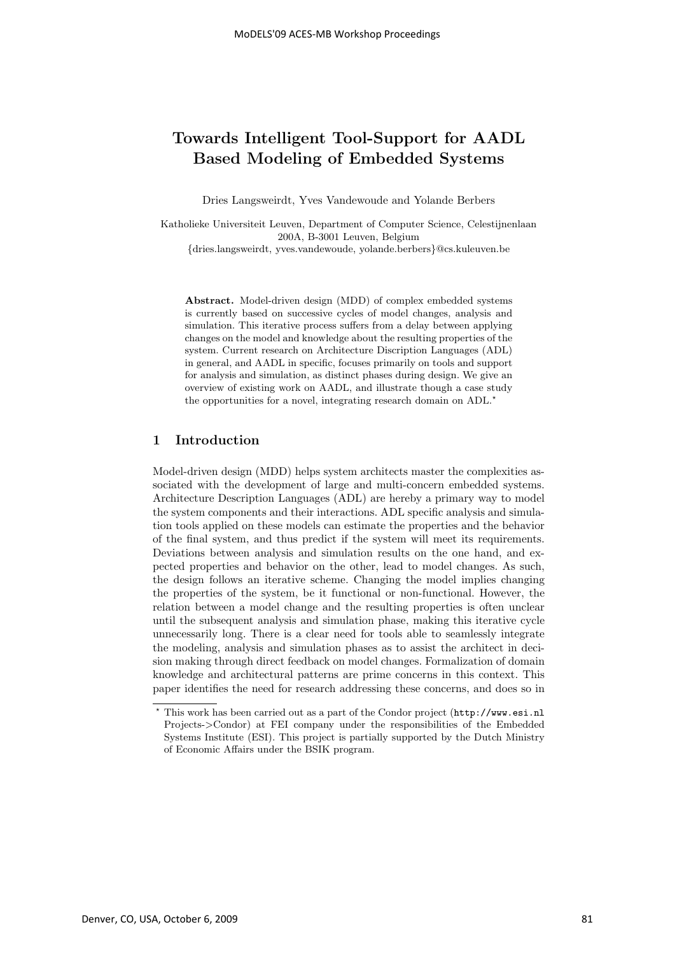# **Towards Intelligent Tool-Support for AADL Based Modeling of Embedded Systems**

Dries Langsweirdt, Yves Vandewoude and Yolande Berbers

Katholieke Universiteit Leuven, Department of Computer Science, Celestijnenlaan 200A, B-3001 Leuven, Belgium

{dries.langsweirdt, yves.vandewoude, yolande.berbers}@cs.kuleuven.be

**Abstract.** Model-driven design (MDD) of complex embedded systems is currently based on successive cycles of model changes, analysis and simulation. This iterative process suffers from a delay between applying changes on the model and knowledge about the resulting properties of the system. Current research on Architecture Discription Languages (ADL) in general, and AADL in specific, focuses primarily on tools and support for analysis and simulation, as distinct phases during design. We give an overview of existing work on AADL, and illustrate though a case study the opportunities for a novel, integrating research domain on  $\text{ADL.}^{\star}$ 

# **1 Introduction**

Model-driven design (MDD) helps system architects master the complexities associated with the development of large and multi-concern embedded systems. Architecture Description Languages (ADL) are hereby a primary way to model the system components and their interactions. ADL specific analysis and simulation tools applied on these models can estimate the properties and the behavior of the final system, and thus predict if the system will meet its requirements. Deviations between analysis and simulation results on the one hand, and expected properties and behavior on the other, lead to model changes. As such, the design follows an iterative scheme. Changing the model implies changing the properties of the system, be it functional or non-functional. However, the relation between a model change and the resulting properties is often unclear until the subsequent analysis and simulation phase, making this iterative cycle unnecessarily long. There is a clear need for tools able to seamlessly integrate the modeling, analysis and simulation phases as to assist the architect in decision making through direct feedback on model changes. Formalization of domain knowledge and architectural patterns are prime concerns in this context. This paper identifies the need for research addressing these concerns, and does so in

 $\star$  This work has been carried out as a part of the Condor project (http://www.esi.nl Projects->Condor) at FEI company under the responsibilities of the Embedded Systems Institute (ESI). This project is partially supported by the Dutch Ministry of Economic Affairs under the BSIK program.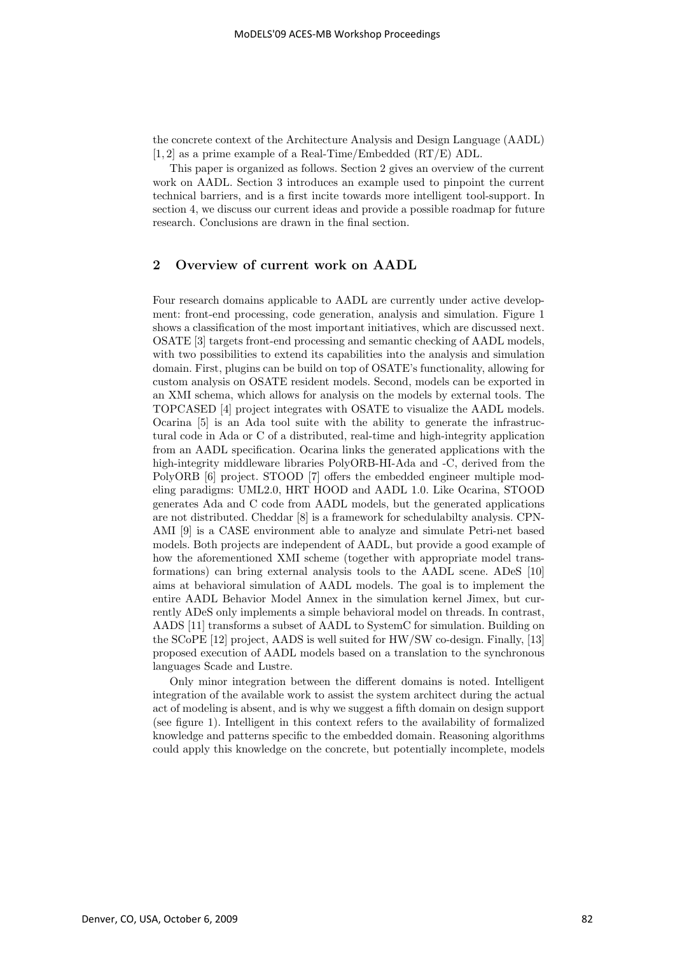the concrete context of the Architecture Analysis and Design Language (AADL) [1, 2] as a prime example of a Real-Time/Embedded (RT/E) ADL.

This paper is organized as follows. Section 2 gives an overview of the current work on AADL. Section 3 introduces an example used to pinpoint the current technical barriers, and is a first incite towards more intelligent tool-support. In section 4, we discuss our current ideas and provide a possible roadmap for future research. Conclusions are drawn in the final section.

# **2 Overview of current work on AADL**

Four research domains applicable to AADL are currently under active development: front-end processing, code generation, analysis and simulation. Figure 1 shows a classification of the most important initiatives, which are discussed next. OSATE [3] targets front-end processing and semantic checking of AADL models, with two possibilities to extend its capabilities into the analysis and simulation domain. First, plugins can be build on top of OSATE's functionality, allowing for custom analysis on OSATE resident models. Second, models can be exported in an XMI schema, which allows for analysis on the models by external tools. The TOPCASED [4] project integrates with OSATE to visualize the AADL models. Ocarina [5] is an Ada tool suite with the ability to generate the infrastructural code in Ada or C of a distributed, real-time and high-integrity application from an AADL specification. Ocarina links the generated applications with the high-integrity middleware libraries PolyORB-HI-Ada and -C, derived from the PolyORB [6] project. STOOD [7] offers the embedded engineer multiple modeling paradigms: UML2.0, HRT HOOD and AADL 1.0. Like Ocarina, STOOD generates Ada and C code from AADL models, but the generated applications are not distributed. Cheddar [8] is a framework for schedulabilty analysis. CPN-AMI [9] is a CASE environment able to analyze and simulate Petri-net based models. Both projects are independent of AADL, but provide a good example of how the aforementioned XMI scheme (together with appropriate model transformations) can bring external analysis tools to the AADL scene. ADeS [10] aims at behavioral simulation of AADL models. The goal is to implement the entire AADL Behavior Model Annex in the simulation kernel Jimex, but currently ADeS only implements a simple behavioral model on threads. In contrast, AADS [11] transforms a subset of AADL to SystemC for simulation. Building on the SCoPE [12] project, AADS is well suited for HW/SW co-design. Finally, [13] proposed execution of AADL models based on a translation to the synchronous languages Scade and Lustre.

Only minor integration between the different domains is noted. Intelligent integration of the available work to assist the system architect during the actual act of modeling is absent, and is why we suggest a fifth domain on design support (see figure 1). Intelligent in this context refers to the availability of formalized knowledge and patterns specific to the embedded domain. Reasoning algorithms could apply this knowledge on the concrete, but potentially incomplete, models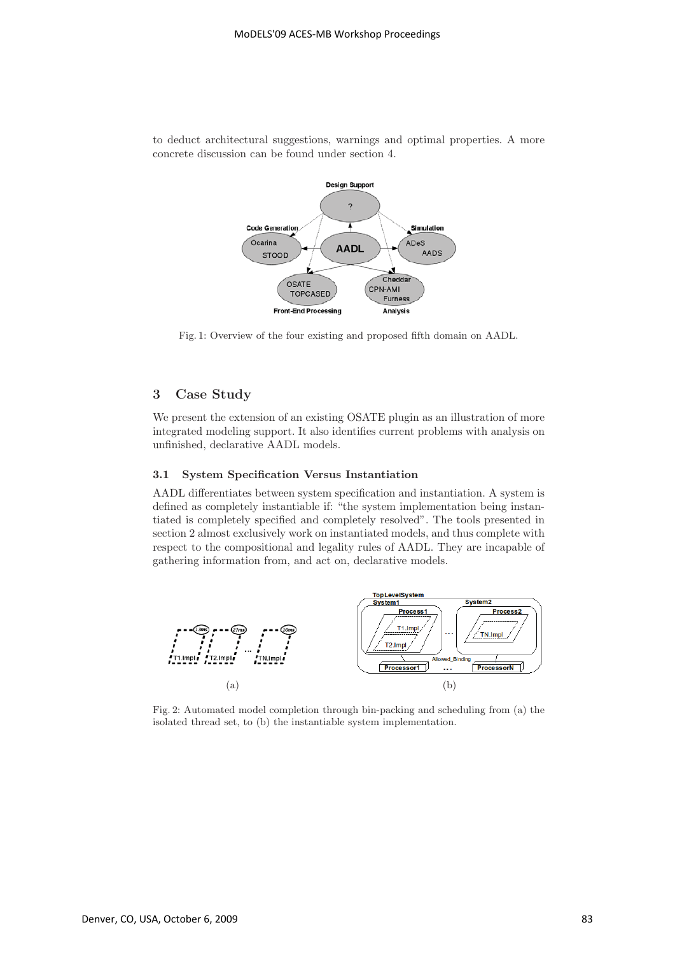

to deduct architectural suggestions, warnings and optimal properties. A more concrete discussion can be found under section 4.

Fig. 1: Overview of the four existing and proposed fifth domain on AADL.

# **3 Case Study**

We present the extension of an existing OSATE plugin as an illustration of more integrated modeling support. It also identifies current problems with analysis on unfinished, declarative AADL models.

#### **3.1 System Specification Versus Instantiation**

AADL differentiates between system specification and instantiation. A system is defined as completely instantiable if: "the system implementation being instantiated is completely specified and completely resolved". The tools presented in section 2 almost exclusively work on instantiated models, and thus complete with respect to the compositional and legality rules of AADL. They are incapable of gathering information from, and act on, declarative models.



Fig. 2: Automated model completion through bin-packing and scheduling from (a) the isolated thread set, to (b) the instantiable system implementation.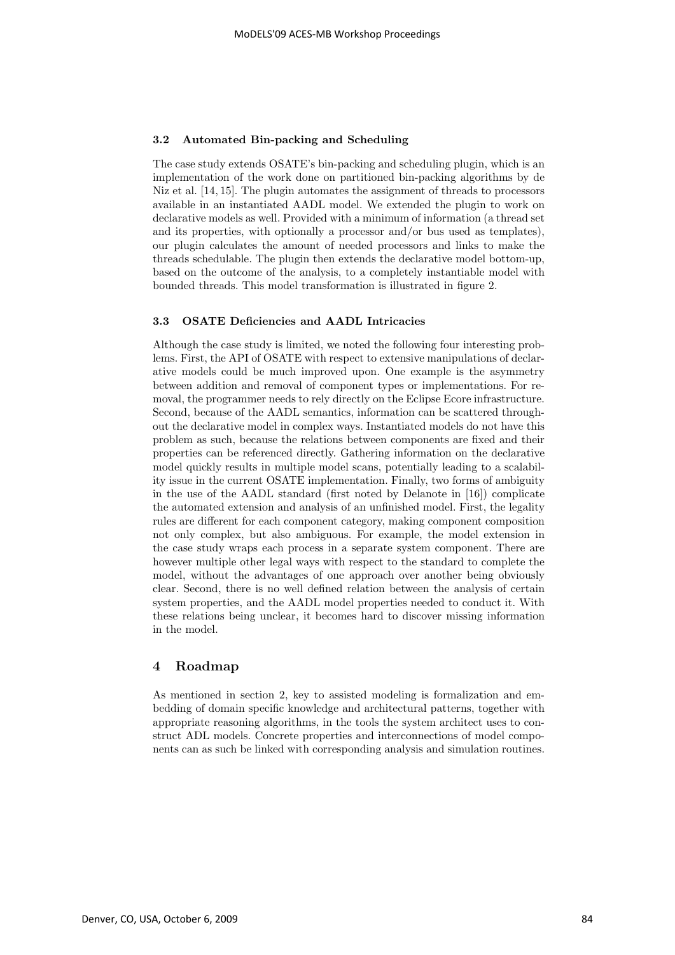#### **3.2 Automated Bin-packing and Scheduling**

The case study extends OSATE's bin-packing and scheduling plugin, which is an implementation of the work done on partitioned bin-packing algorithms by de Niz et al. [14, 15]. The plugin automates the assignment of threads to processors available in an instantiated AADL model. We extended the plugin to work on declarative models as well. Provided with a minimum of information (a thread set and its properties, with optionally a processor and/or bus used as templates), our plugin calculates the amount of needed processors and links to make the threads schedulable. The plugin then extends the declarative model bottom-up, based on the outcome of the analysis, to a completely instantiable model with bounded threads. This model transformation is illustrated in figure 2.

#### **3.3 OSATE Deficiencies and AADL Intricacies**

Although the case study is limited, we noted the following four interesting problems. First, the API of OSATE with respect to extensive manipulations of declarative models could be much improved upon. One example is the asymmetry between addition and removal of component types or implementations. For removal, the programmer needs to rely directly on the Eclipse Ecore infrastructure. Second, because of the AADL semantics, information can be scattered throughout the declarative model in complex ways. Instantiated models do not have this problem as such, because the relations between components are fixed and their properties can be referenced directly. Gathering information on the declarative model quickly results in multiple model scans, potentially leading to a scalability issue in the current OSATE implementation. Finally, two forms of ambiguity in the use of the AADL standard (first noted by Delanote in [16]) complicate the automated extension and analysis of an unfinished model. First, the legality rules are different for each component category, making component composition not only complex, but also ambiguous. For example, the model extension in the case study wraps each process in a separate system component. There are however multiple other legal ways with respect to the standard to complete the model, without the advantages of one approach over another being obviously clear. Second, there is no well defined relation between the analysis of certain system properties, and the AADL model properties needed to conduct it. With these relations being unclear, it becomes hard to discover missing information in the model.

# **4 Roadmap**

As mentioned in section 2, key to assisted modeling is formalization and embedding of domain specific knowledge and architectural patterns, together with appropriate reasoning algorithms, in the tools the system architect uses to construct ADL models. Concrete properties and interconnections of model components can as such be linked with corresponding analysis and simulation routines.